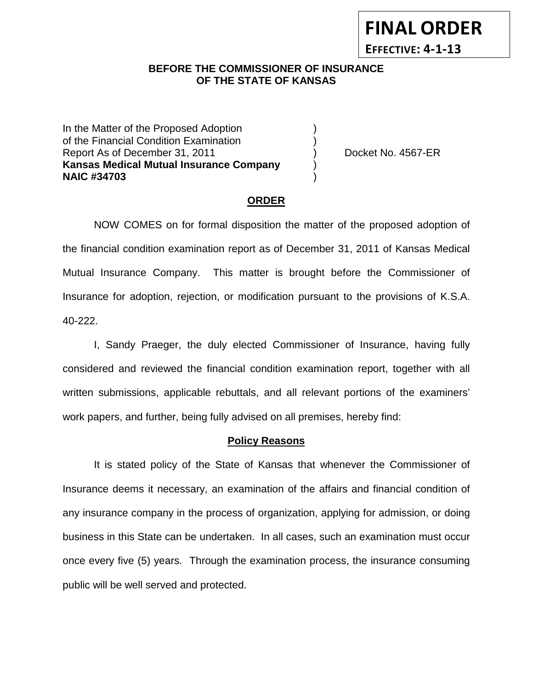# **FINAL ORDER**

**EFFECTIVE: 4-1-13**

## **BEFORE THE COMMISSIONER OF INSURANCE OF THE STATE OF KANSAS**

In the Matter of the Proposed Adoption of the Financial Condition Examination ) Report As of December 31, 2011 (and Separate Left No. 4567-ER **Kansas Medical Mutual Insurance Company** ) **NAIC #34703** )

# **ORDER**

NOW COMES on for formal disposition the matter of the proposed adoption of the financial condition examination report as of December 31, 2011 of Kansas Medical Mutual Insurance Company. This matter is brought before the Commissioner of Insurance for adoption, rejection, or modification pursuant to the provisions of K.S.A. 40-222.

I, Sandy Praeger, the duly elected Commissioner of Insurance, having fully considered and reviewed the financial condition examination report, together with all written submissions, applicable rebuttals, and all relevant portions of the examiners' work papers, and further, being fully advised on all premises, hereby find:

## **Policy Reasons**

It is stated policy of the State of Kansas that whenever the Commissioner of Insurance deems it necessary, an examination of the affairs and financial condition of any insurance company in the process of organization, applying for admission, or doing business in this State can be undertaken. In all cases, such an examination must occur once every five (5) years. Through the examination process, the insurance consuming public will be well served and protected.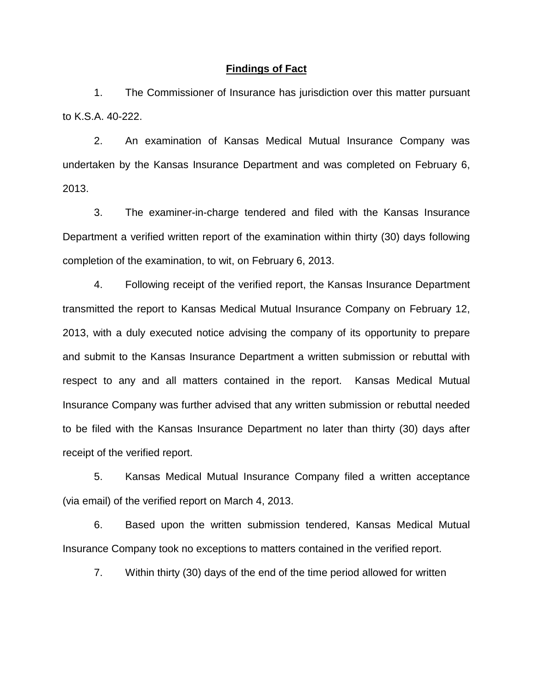#### **Findings of Fact**

1. The Commissioner of Insurance has jurisdiction over this matter pursuant to K.S.A. 40-222.

2. An examination of Kansas Medical Mutual Insurance Company was undertaken by the Kansas Insurance Department and was completed on February 6, 2013.

3. The examiner-in-charge tendered and filed with the Kansas Insurance Department a verified written report of the examination within thirty (30) days following completion of the examination, to wit, on February 6, 2013.

4. Following receipt of the verified report, the Kansas Insurance Department transmitted the report to Kansas Medical Mutual Insurance Company on February 12, 2013, with a duly executed notice advising the company of its opportunity to prepare and submit to the Kansas Insurance Department a written submission or rebuttal with respect to any and all matters contained in the report. Kansas Medical Mutual Insurance Company was further advised that any written submission or rebuttal needed to be filed with the Kansas Insurance Department no later than thirty (30) days after receipt of the verified report.

5. Kansas Medical Mutual Insurance Company filed a written acceptance (via email) of the verified report on March 4, 2013.

6. Based upon the written submission tendered, Kansas Medical Mutual Insurance Company took no exceptions to matters contained in the verified report.

7. Within thirty (30) days of the end of the time period allowed for written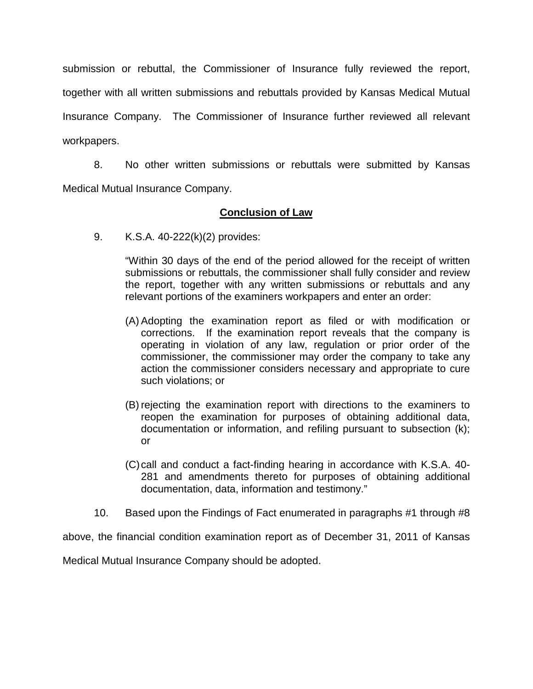submission or rebuttal, the Commissioner of Insurance fully reviewed the report, together with all written submissions and rebuttals provided by Kansas Medical Mutual Insurance Company. The Commissioner of Insurance further reviewed all relevant workpapers.

8. No other written submissions or rebuttals were submitted by Kansas Medical Mutual Insurance Company.

## **Conclusion of Law**

9. K.S.A. 40-222(k)(2) provides:

"Within 30 days of the end of the period allowed for the receipt of written submissions or rebuttals, the commissioner shall fully consider and review the report, together with any written submissions or rebuttals and any relevant portions of the examiners workpapers and enter an order:

- (A) Adopting the examination report as filed or with modification or corrections. If the examination report reveals that the company is operating in violation of any law, regulation or prior order of the commissioner, the commissioner may order the company to take any action the commissioner considers necessary and appropriate to cure such violations; or
- (B) rejecting the examination report with directions to the examiners to reopen the examination for purposes of obtaining additional data, documentation or information, and refiling pursuant to subsection (k); or
- (C)call and conduct a fact-finding hearing in accordance with K.S.A. 40- 281 and amendments thereto for purposes of obtaining additional documentation, data, information and testimony."
- 10. Based upon the Findings of Fact enumerated in paragraphs #1 through #8

above, the financial condition examination report as of December 31, 2011 of Kansas

Medical Mutual Insurance Company should be adopted.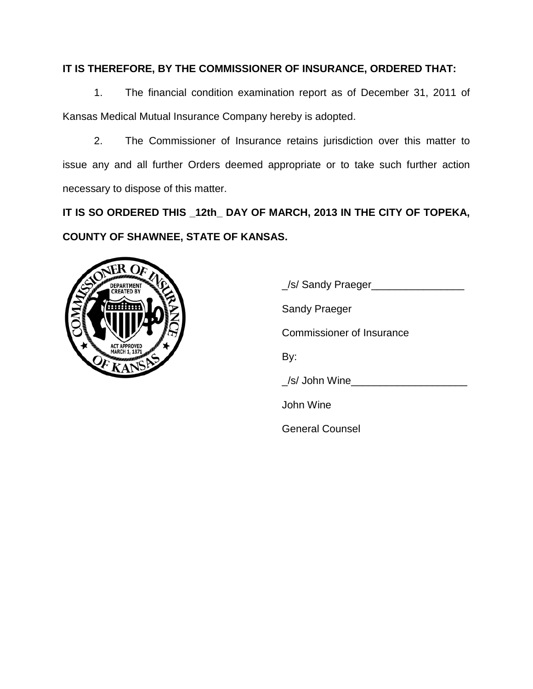# **IT IS THEREFORE, BY THE COMMISSIONER OF INSURANCE, ORDERED THAT:**

1. The financial condition examination report as of December 31, 2011 of Kansas Medical Mutual Insurance Company hereby is adopted.

2. The Commissioner of Insurance retains jurisdiction over this matter to issue any and all further Orders deemed appropriate or to take such further action necessary to dispose of this matter.

**IT IS SO ORDERED THIS \_12th\_ DAY OF MARCH, 2013 IN THE CITY OF TOPEKA, COUNTY OF SHAWNEE, STATE OF KANSAS.**



| Sel Sandy Praeger                |
|----------------------------------|
| <b>Sandy Praeger</b>             |
| <b>Commissioner of Insurance</b> |
| By:                              |
| /s/ John Wine                    |
| John Wine                        |
| <b>General Counsel</b>           |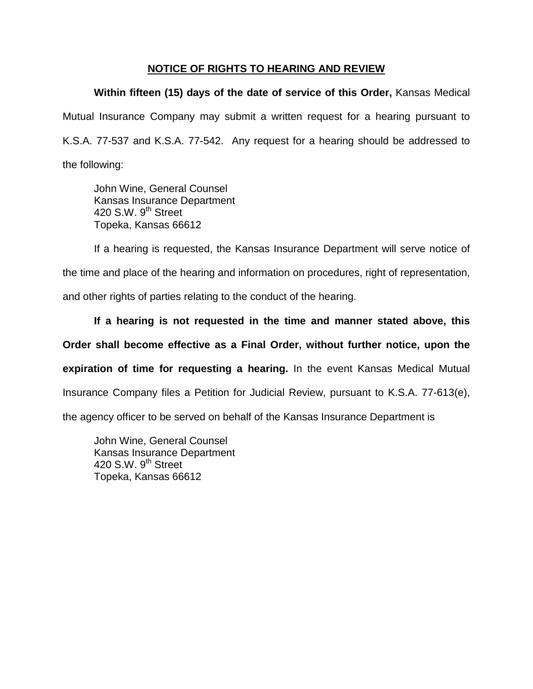## **NOTICE OF RIGHTS TO HEARING AND REVIEW**

**Within fifteen (15) days of the date of service of this Order,** Kansas Medical Mutual Insurance Company may submit a written request for a hearing pursuant to K.S.A. 77-537 and K.S.A. 77-542. Any request for a hearing should be addressed to the following:

John Wine, General Counsel Kansas Insurance Department 420 S.W. 9<sup>th</sup> Street Topeka, Kansas 66612

If a hearing is requested, the Kansas Insurance Department will serve notice of the time and place of the hearing and information on procedures, right of representation, and other rights of parties relating to the conduct of the hearing.

**If a hearing is not requested in the time and manner stated above, this Order shall become effective as a Final Order, without further notice, upon the expiration of time for requesting a hearing.** In the event Kansas Medical Mutual Insurance Company files a Petition for Judicial Review, pursuant to K.S.A. 77-613(e), the agency officer to be served on behalf of the Kansas Insurance Department is

John Wine, General Counsel Kansas Insurance Department 420 S.W.  $9<sup>th</sup>$  Street Topeka, Kansas 66612